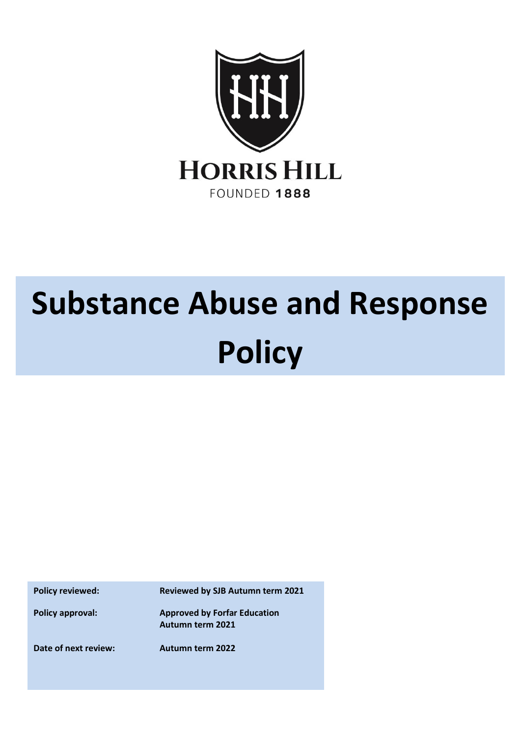

# **Substance Abuse and Response Policy**

**Policy reviewed: Reviewed by SJB Autumn term 2021**

**Policy approval: Approved by Forfar Education Autumn term 2021**

**Date of next review: Autumn term 2022**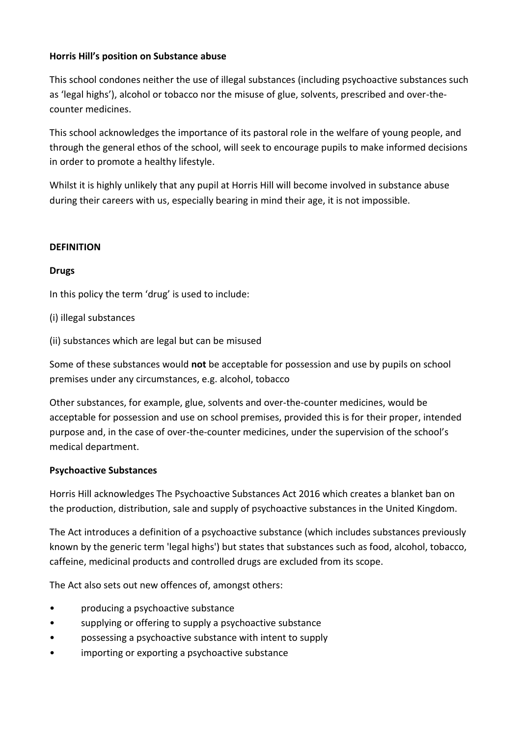## **Horris Hill's position on Substance abuse**

This school condones neither the use of illegal substances (including psychoactive substances such as 'legal highs'), alcohol or tobacco nor the misuse of glue, solvents, prescribed and over-thecounter medicines.

This school acknowledges the importance of its pastoral role in the welfare of young people, and through the general ethos of the school, will seek to encourage pupils to make informed decisions in order to promote a healthy lifestyle.

Whilst it is highly unlikely that any pupil at Horris Hill will become involved in substance abuse during their careers with us, especially bearing in mind their age, it is not impossible.

## **DEFINITION**

## **Drugs**

In this policy the term 'drug' is used to include:

- (i) illegal substances
- (ii) substances which are legal but can be misused

Some of these substances would **not** be acceptable for possession and use by pupils on school premises under any circumstances, e.g. alcohol, tobacco

Other substances, for example, glue, solvents and over-the-counter medicines, would be acceptable for possession and use on school premises, provided this is for their proper, intended purpose and, in the case of over-the-counter medicines, under the supervision of the school's medical department.

## **Psychoactive Substances**

Horris Hill acknowledges The Psychoactive Substances Act 2016 which creates a blanket ban on the production, distribution, sale and supply of psychoactive substances in the United Kingdom.

The Act introduces a definition of a psychoactive substance (which includes substances previously known by the generic term 'legal highs') but states that substances such as food, alcohol, tobacco, caffeine, medicinal products and controlled drugs are excluded from its scope.

The Act also sets out new offences of, amongst others:

- producing a psychoactive substance
- supplying or offering to supply a psychoactive substance
- possessing a psychoactive substance with intent to supply
- importing or exporting a psychoactive substance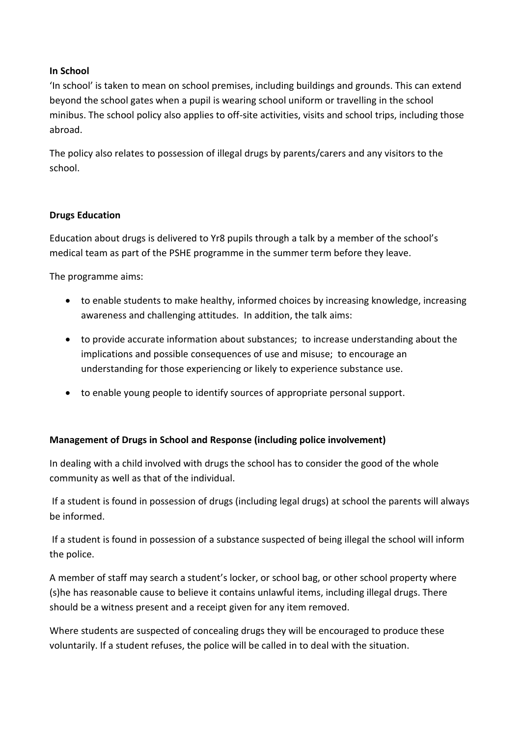## **In School**

'In school' is taken to mean on school premises, including buildings and grounds. This can extend beyond the school gates when a pupil is wearing school uniform or travelling in the school minibus. The school policy also applies to off-site activities, visits and school trips, including those abroad.

The policy also relates to possession of illegal drugs by parents/carers and any visitors to the school.

#### **Drugs Education**

Education about drugs is delivered to Yr8 pupils through a talk by a member of the school's medical team as part of the PSHE programme in the summer term before they leave.

The programme aims:

- to enable students to make healthy, informed choices by increasing knowledge, increasing awareness and challenging attitudes. In addition, the talk aims:
- to provide accurate information about substances; to increase understanding about the implications and possible consequences of use and misuse; to encourage an understanding for those experiencing or likely to experience substance use.
- to enable young people to identify sources of appropriate personal support.

## **Management of Drugs in School and Response (including police involvement)**

In dealing with a child involved with drugs the school has to consider the good of the whole community as well as that of the individual.

If a student is found in possession of drugs (including legal drugs) at school the parents will always be informed.

If a student is found in possession of a substance suspected of being illegal the school will inform the police.

A member of staff may search a student's locker, or school bag, or other school property where (s)he has reasonable cause to believe it contains unlawful items, including illegal drugs. There should be a witness present and a receipt given for any item removed.

Where students are suspected of concealing drugs they will be encouraged to produce these voluntarily. If a student refuses, the police will be called in to deal with the situation.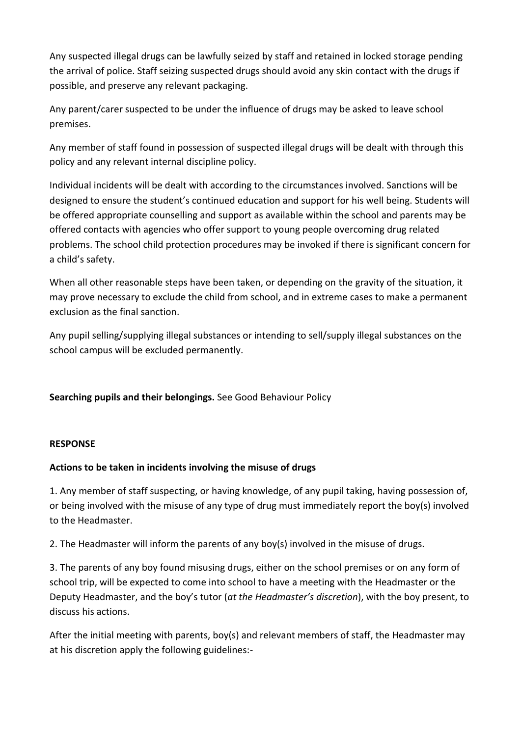Any suspected illegal drugs can be lawfully seized by staff and retained in locked storage pending the arrival of police. Staff seizing suspected drugs should avoid any skin contact with the drugs if possible, and preserve any relevant packaging.

Any parent/carer suspected to be under the influence of drugs may be asked to leave school premises.

Any member of staff found in possession of suspected illegal drugs will be dealt with through this policy and any relevant internal discipline policy.

Individual incidents will be dealt with according to the circumstances involved. Sanctions will be designed to ensure the student's continued education and support for his well being. Students will be offered appropriate counselling and support as available within the school and parents may be offered contacts with agencies who offer support to young people overcoming drug related problems. The school child protection procedures may be invoked if there is significant concern for a child's safety.

When all other reasonable steps have been taken, or depending on the gravity of the situation, it may prove necessary to exclude the child from school, and in extreme cases to make a permanent exclusion as the final sanction.

Any pupil selling/supplying illegal substances or intending to sell/supply illegal substances on the school campus will be excluded permanently.

**Searching pupils and their belongings.** See Good Behaviour Policy

## **RESPONSE**

## **Actions to be taken in incidents involving the misuse of drugs**

1. Any member of staff suspecting, or having knowledge, of any pupil taking, having possession of, or being involved with the misuse of any type of drug must immediately report the boy(s) involved to the Headmaster.

2. The Headmaster will inform the parents of any boy(s) involved in the misuse of drugs.

3. The parents of any boy found misusing drugs, either on the school premises or on any form of school trip, will be expected to come into school to have a meeting with the Headmaster or the Deputy Headmaster, and the boy's tutor (*at the Headmaster's discretion*), with the boy present, to discuss his actions.

After the initial meeting with parents, boy(s) and relevant members of staff, the Headmaster may at his discretion apply the following guidelines:-